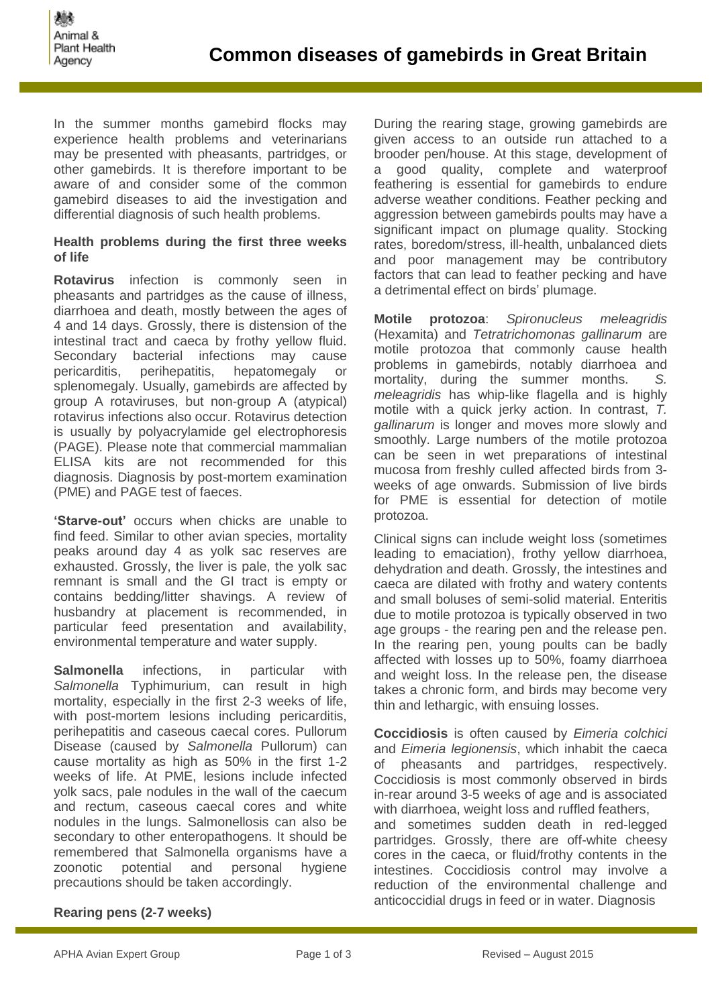In the summer months gamebird flocks may experience health problems and veterinarians may be presented with pheasants, partridges, or other gamebirds. It is therefore important to be aware of and consider some of the common gamebird diseases to aid the investigation and differential diagnosis of such health problems.

## **Health problems during the first three weeks of life**

**Rotavirus** infection is commonly seen in pheasants and partridges as the cause of illness, diarrhoea and death, mostly between the ages of 4 and 14 days. Grossly, there is distension of the intestinal tract and caeca by frothy yellow fluid. Secondary bacterial infections may cause pericarditis, perihepatitis, hepatomegaly or splenomegaly. Usually, gamebirds are affected by group A rotaviruses, but non-group A (atypical) rotavirus infections also occur. Rotavirus detection is usually by polyacrylamide gel electrophoresis (PAGE). Please note that commercial mammalian ELISA kits are not recommended for this diagnosis. Diagnosis by post-mortem examination (PME) and PAGE test of faeces.

**'Starve-out'** occurs when chicks are unable to find feed. Similar to other avian species, mortality peaks around day 4 as yolk sac reserves are exhausted. Grossly, the liver is pale, the yolk sac remnant is small and the GI tract is empty or contains bedding/litter shavings. A review of husbandry at placement is recommended, in particular feed presentation and availability, environmental temperature and water supply.

**Salmonella** infections, in particular with *Salmonella* Typhimurium, can result in high mortality, especially in the first 2-3 weeks of life, with post-mortem lesions including pericarditis, perihepatitis and caseous caecal cores. Pullorum Disease (caused by *Salmonella* Pullorum) can cause mortality as high as 50% in the first 1-2 weeks of life. At PME, lesions include infected yolk sacs, pale nodules in the wall of the caecum and rectum, caseous caecal cores and white nodules in the lungs. Salmonellosis can also be secondary to other enteropathogens. It should be remembered that Salmonella organisms have a zoonotic potential and personal hygiene precautions should be taken accordingly.

During the rearing stage, growing gamebirds are given access to an outside run attached to a brooder pen/house. At this stage, development of a good quality, complete and waterproof feathering is essential for gamebirds to endure adverse weather conditions. Feather pecking and aggression between gamebirds poults may have a significant impact on plumage quality. Stocking rates, boredom/stress, ill-health, unbalanced diets and poor management may be contributory factors that can lead to feather pecking and have a detrimental effect on birds' plumage.

**Motile protozoa**: *Spironucleus meleagridis* (Hexamita) and *Tetratrichomonas gallinarum* are motile protozoa that commonly cause health problems in gamebirds, notably diarrhoea and mortality, during the summer months. *S. meleagridis* has whip-like flagella and is highly motile with a quick jerky action. In contrast, *T. gallinarum* is longer and moves more slowly and smoothly. Large numbers of the motile protozoa can be seen in wet preparations of intestinal mucosa from freshly culled affected birds from 3 weeks of age onwards. Submission of live birds for PME is essential for detection of motile protozoa.

Clinical signs can include weight loss (sometimes leading to emaciation), frothy yellow diarrhoea, dehydration and death. Grossly, the intestines and caeca are dilated with frothy and watery contents and small boluses of semi-solid material. Enteritis due to motile protozoa is typically observed in two age groups - the rearing pen and the release pen. In the rearing pen, young poults can be badly affected with losses up to 50%, foamy diarrhoea and weight loss. In the release pen, the disease takes a chronic form, and birds may become very thin and lethargic, with ensuing losses.

**Coccidiosis** is often caused by *Eimeria colchici*  and *Eimeria legionensis*, which inhabit the caeca of pheasants and partridges, respectively. Coccidiosis is most commonly observed in birds in-rear around 3-5 weeks of age and is associated with diarrhoea, weight loss and ruffled feathers, and sometimes sudden death in red-legged partridges. Grossly, there are off-white cheesy cores in the caeca, or fluid/frothy contents in the intestines. Coccidiosis control may involve a reduction of the environmental challenge and anticoccidial drugs in feed or in water. Diagnosis

# **Rearing pens (2-7 weeks)**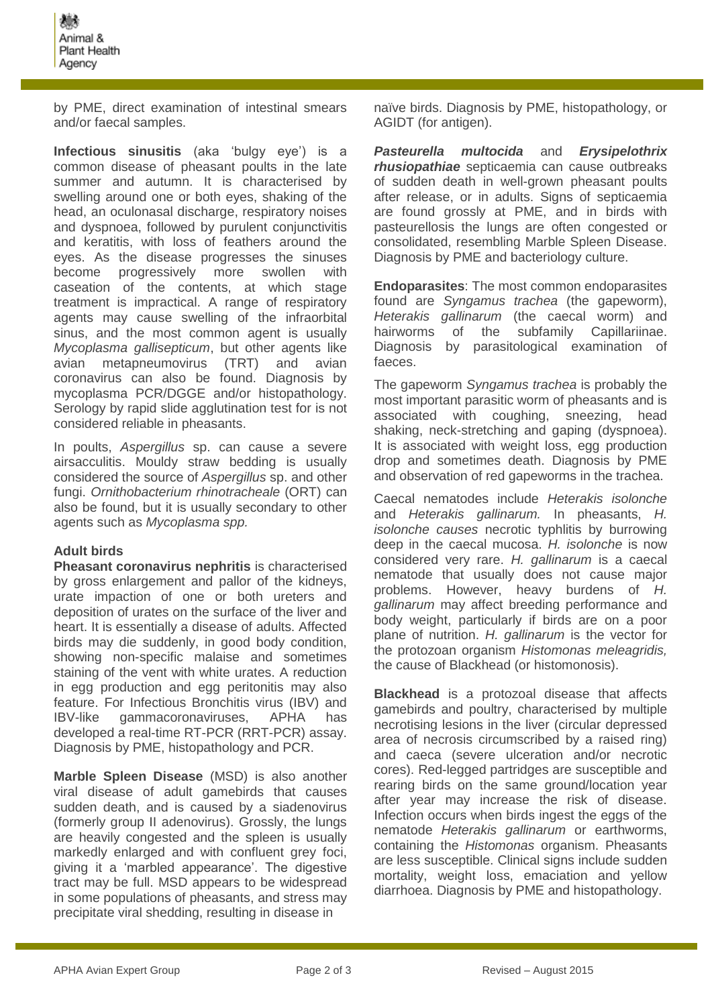by PME, direct examination of intestinal smears and/or faecal samples.

**Infectious sinusitis** (aka 'bulgy eye') is a common disease of pheasant poults in the late summer and autumn. It is characterised by swelling around one or both eyes, shaking of the head, an oculonasal discharge, respiratory noises and dyspnoea, followed by purulent conjunctivitis and keratitis, with loss of feathers around the eyes. As the disease progresses the sinuses become progressively more swollen with caseation of the contents, at which stage treatment is impractical. A range of respiratory agents may cause swelling of the infraorbital sinus, and the most common agent is usually *Mycoplasma gallisepticum*, but other agents like avian metapneumovirus (TRT) and avian coronavirus can also be found. Diagnosis by mycoplasma PCR/DGGE and/or histopathology. Serology by rapid slide agglutination test for is not considered reliable in pheasants.

In poults, *Aspergillus* sp. can cause a severe airsacculitis. Mouldy straw bedding is usually considered the source of *Aspergillus* sp. and other fungi. *Ornithobacterium rhinotracheale* (ORT) can also be found, but it is usually secondary to other agents such as *Mycoplasma spp.*

# **Adult birds**

**Pheasant coronavirus nephritis** is characterised by gross enlargement and pallor of the kidneys, urate impaction of one or both ureters and deposition of urates on the surface of the liver and heart. It is essentially a disease of adults. Affected birds may die suddenly, in good body condition, showing non-specific malaise and sometimes staining of the vent with white urates. A reduction in egg production and egg peritonitis may also feature. For Infectious Bronchitis virus (IBV) and IBV-like gammacoronaviruses, APHA has developed a real-time RT-PCR (RRT-PCR) assay. Diagnosis by PME, histopathology and PCR.

**Marble Spleen Disease** (MSD) is also another viral disease of adult gamebirds that causes sudden death, and is caused by a siadenovirus (formerly group II adenovirus). Grossly, the lungs are heavily congested and the spleen is usually markedly enlarged and with confluent grey foci, giving it a 'marbled appearance'. The digestive tract may be full. MSD appears to be widespread in some populations of pheasants, and stress may precipitate viral shedding, resulting in disease in

naïve birds. Diagnosis by PME, histopathology, or AGIDT (for antigen).

*Pasteurella multocida* and *Erysipelothrix rhusiopathiae* septicaemia can cause outbreaks of sudden death in well-grown pheasant poults after release, or in adults. Signs of septicaemia are found grossly at PME, and in birds with pasteurellosis the lungs are often congested or consolidated, resembling Marble Spleen Disease. Diagnosis by PME and bacteriology culture.

**Endoparasites**: The most common endoparasites found are *Syngamus trachea* (the gapeworm), *Heterakis gallinarum* (the caecal worm) and hairworms of the subfamily Capillariinae. Diagnosis by parasitological examination of faeces.

The gapeworm *Syngamus trachea* is probably the most important parasitic worm of pheasants and is associated with coughing, sneezing, head shaking, neck-stretching and gaping (dyspnoea). It is associated with weight loss, egg production drop and sometimes death. Diagnosis by PME and observation of red gapeworms in the trachea.

Caecal nematodes include *Heterakis isolonche*  and *Heterakis gallinarum.* In pheasants, *H. isolonche causes* necrotic typhlitis by burrowing deep in the caecal mucosa. *H. isolonche* is now considered very rare. *H. gallinarum* is a caecal nematode that usually does not cause major problems. However, heavy burdens of *H. gallinarum* may affect breeding performance and body weight, particularly if birds are on a poor plane of nutrition. *H. gallinarum* is the vector for the protozoan organism *Histomonas meleagridis,* the cause of Blackhead (or histomonosis).

**Blackhead** is a protozoal disease that affects gamebirds and poultry, characterised by multiple necrotising lesions in the liver (circular depressed area of necrosis circumscribed by a raised ring) and caeca (severe ulceration and/or necrotic cores). Red-legged partridges are susceptible and rearing birds on the same ground/location year after year may increase the risk of disease. Infection occurs when birds ingest the eggs of the nematode *Heterakis gallinarum* or earthworms, containing the *Histomonas* organism. Pheasants are less susceptible. Clinical signs include sudden mortality, weight loss, emaciation and yellow diarrhoea. Diagnosis by PME and histopathology.